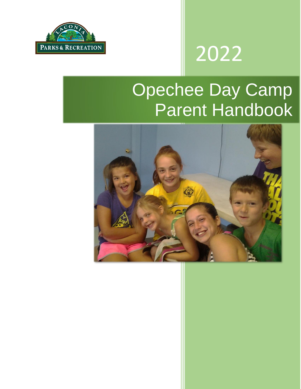

# 2022

# Opechee Day Camp Parent Handbook

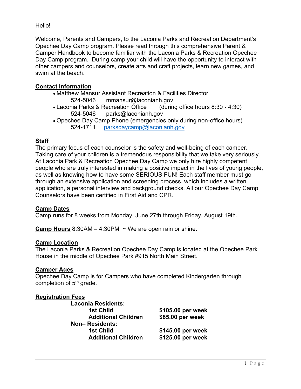Hello!

Welcome, Parents and Campers, to the Laconia Parks and Recreation Department's Opechee Day Camp program. Please read through this comprehensive Parent & Camper Handbook to become familiar with the Laconia Parks & Recreation Opechee Day Camp program. During camp your child will have the opportunity to interact with other campers and counselors, create arts and craft projects, learn new games, and swim at the beach.

# **Contact Information**

- Matthew Mansur Assistant Recreation & Facilities Director 524-5046 mmansur@laconianh.gov
- Laconia Parks & Recreation Office (during office hours 8:30 4:30) 524-5046 parks@laconianh.gov
- Opechee Day Camp Phone (emergencies only during non-office hours) 524-1711 [parksdaycamp@laconianh.gov](mailto:parksdaycamp@laconianh.gov)

# **Staff**

The primary focus of each counselor is the safety and well-being of each camper. Taking care of your children is a tremendous responsibility that we take very seriously. At Laconia Park & Recreation Opechee Day Camp we only hire highly competent people who are truly interested in making a positive impact in the lives of young people, as well as knowing how to have some SERIOUS FUN! Each staff member must go through an extensive application and screening process, which includes a written application, a personal interview and background checks. All our Opechee Day Camp Counselors have been certified in First Aid and CPR.

# **Camp Dates**

Camp runs for 8 weeks from Monday, June 27th through Friday, August 19th.

**Camp Hours** 8:30AM – 4:30PM ~ We are open rain or shine.

#### **Camp Location**

The Laconia Parks & Recreation Opechee Day Camp is located at the Opechee Park House in the middle of Opechee Park #915 North Main Street.

# **Camper Ages**

Opechee Day Camp is for Campers who have completed Kindergarten through completion of  $5<sup>th</sup>$  grade.

# **Registration Fees**

| <b>Laconia Residents:</b>  |                   |
|----------------------------|-------------------|
| <b>1st Child</b>           | \$105.00 per week |
| <b>Additional Children</b> | \$85.00 per week  |
| Non-Residents:             |                   |
| <b>1st Child</b>           | \$145.00 per week |
| <b>Additional Children</b> | \$125.00 per week |
|                            |                   |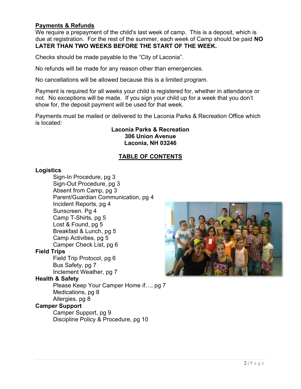# **Payments & Refunds**

We require a prepayment of the child's last week of camp. This is a deposit, which is due at registration. For the rest of the summer, each week of Camp should be paid **NO LATER THAN TWO WEEKS BEFORE THE START OF THE WEEK.**

Checks should be made payable to the "City of Laconia".

No refunds will be made for any reason other than emergencies.

No cancellations will be allowed because this is a limited program.

Payment is required for all weeks your child is registered for, whether in attendance or not. No exceptions will be made. If you sign your child up for a week that you don't show for, the deposit payment will be used for that week.

Payments must be mailed or delivered to the Laconia Parks & Recreation Office which is located:

#### **Laconia Parks & Recreation 306 Union Avenue Laconia, NH 03246**

# **TABLE OF CONTENTS**

#### **Logistics**

Sign-In Procedure, pg 3 Sign-Out Procedure, pg 3 Absent from Camp, pg 3 Parent/Guardian Communication, pg 4 Incident Reports, pg 4 Sunscreen. Pg 4 Camp T-Shirts, pg 5 Lost & Found, pg 5 Breakfast & Lunch, pg 5 Camp Activities, pg 5 Camper Check List, pg 6 **Field Trips** Field Trip Protocol, pg 6 Bus Safety, pg 7 Inclement Weather, pg 7 **Health & Safety** Please Keep Your Camper Home if…, pg 7 Medications, pg 8 Allergies, pg 8 **Camper Support**

Camper Support, pg 9 Discipline Policy & Procedure, pg 10

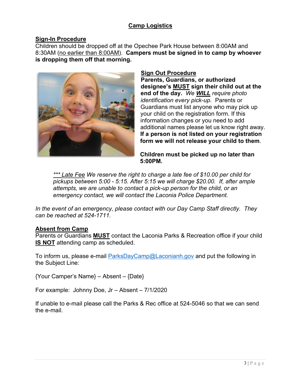# **Camp Logistics**

#### **Sign-In Procedure**

Children should be dropped off at the Opechee Park House between 8:00AM and 8:30AM (no earlier than 8:00AM). **Campers must be signed in to camp by whoever is dropping them off that morning.**



#### **Sign Out Procedure Parents, Guardians, or authorized designee's MUST sign their child out at the end of the day.** *We WILL require photo identification every pick-up.* Parents or Guardians must list anyone who may pick up your child on the registration form. If this information changes or you need to add additional names please let us know right away. **If a person is not listed on your registration form we will not release your child to them**.

**Children must be picked up no later than 5:00PM.** 

*\*\*\* Late Fee We reserve the right to charge a late fee of \$10.00 per child for pickups between 5:00 - 5:15. After 5:15 we will charge \$20.00. If, after ample attempts, we are unable to contact a pick-up person for the child, or an emergency contact, we will contact the Laconia Police Department.* 

*In the event of an emergency, please contact with our Day Camp Staff directly. They can be reached at 524-1711.*

#### **Absent from Camp**

Parents or Guardians **MUST** contact the Laconia Parks & Recreation office if your child **IS NOT** attending camp as scheduled.

To inform us, please e-mail **ParksDayCamp@Laconianh.gov** and put the following in the Subject Line:

{Your Camper's Name} – Absent – {Date}

For example: Johnny Doe, Jr – Absent – 7/1/2020

If unable to e-mail please call the Parks & Rec office at 524-5046 so that we can send the e-mail.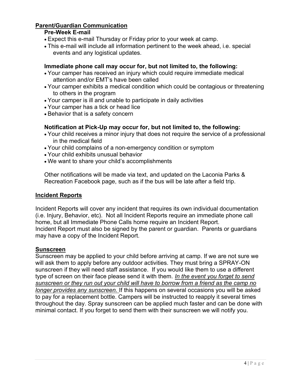# **Parent/Guardian Communication**

# **Pre-Week E-mail**

- Expect this e-mail Thursday or Friday prior to your week at camp.
- This e-mail will include all information pertinent to the week ahead, i.e. special events and any logistical updates.

# **Immediate phone call may occur for, but not limited to, the following:**

- Your camper has received an injury which could require immediate medical attention and/or EMT's have been called
- Your camper exhibits a medical condition which could be contagious or threatening to others in the program
- Your camper is ill and unable to participate in daily activities
- Your camper has a tick or head lice
- Behavior that is a safety concern

# **Notification at Pick-Up may occur for, but not limited to, the following:**

- Your child receives a minor injury that does not require the service of a professional in the medical field
- Your child complains of a non-emergency condition or symptom
- Your child exhibits unusual behavior
- We want to share your child's accomplishments

Other notifications will be made via text, and updated on the Laconia Parks & Recreation Facebook page, such as if the bus will be late after a field trip.

#### **Incident Reports**

Incident Reports will cover any incident that requires its own individual documentation (i.e. Injury, Behavior, etc). Not all Incident Reports require an immediate phone call home, but all Immediate Phone Calls home require an Incident Report. Incident Report must also be signed by the parent or guardian. Parents or guardians may have a copy of the Incident Report.

# **Sunscreen**

Sunscreen may be applied to your child before arriving at camp. If we are not sure we will ask them to apply before any outdoor activities. They must bring a SPRAY-ON sunscreen if they will need staff assistance. If you would like them to use a different type of screen on their face please send it with them. *In the event you forget to send sunscreen or they run out your child will have to borrow from a friend as the camp no longer provides any sunscreen.* If this happens on several occasions you will be asked to pay for a replacement bottle. Campers will be instructed to reapply it several times throughout the day. Spray sunscreen can be applied much faster and can be done with minimal contact. If you forget to send them with their sunscreen we will notify you.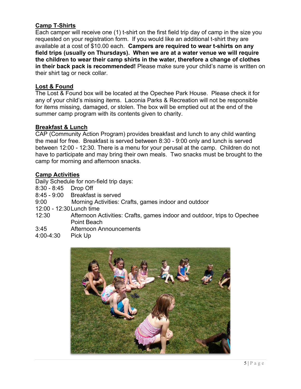# **Camp T-Shirts**

Each camper will receive one (1) t-shirt on the first field trip day of camp in the size you requested on your registration form. If you would like an additional t-shirt they are available at a cost of \$10.00 each. **Campers are required to wear t-shirts on any field trips (usually on Thursdays). When we are at a water venue we will require the children to wear their camp shirts in the water, therefore a change of clothes in their back pack is recommended!** Please make sure your child's name is written on their shirt tag or neck collar.

# **Lost & Found**

The Lost & Found box will be located at the Opechee Park House. Please check it for any of your child's missing items. Laconia Parks & Recreation will not be responsible for items missing, damaged, or stolen. The box will be emptied out at the end of the summer camp program with its contents given to charity.

# **Breakfast & Lunch**

CAP (Community Action Program) provides breakfast and lunch to any child wanting the meal for free. Breakfast is served between 8:30 - 9:00 only and lunch is served between 12:00 - 12:30. There is a menu for your perusal at the camp. Children do not have to participate and may bring their own meals. Two snacks must be brought to the camp for morning and afternoon snacks.

# **Camp Activities**

Daily Schedule for non-field trip days:

- 8:30 8:45 Drop Off
- 8:45 9:00 Breakfast is served
- 9:00 Morning Activities: Crafts, games indoor and outdoor
- 12:00 12:30Lunch time
- 12:30 Afternoon Activities: Crafts, games indoor and outdoor, trips to Opechee Point Beach
- 3:45 Afternoon Announcements
- 4:00-4:30 Pick Up

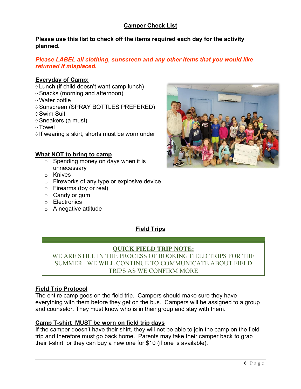# **Camper Check List**

**Please use this list to check off the items required each day for the activity planned.** 

#### *Please LABEL all clothing, sunscreen and any other items that you would like returned if misplaced.*

#### **Everyday of Camp:**

- Lunch (if child doesn't want camp lunch)
- Snacks (morning and afternoon)
- Water bottle
- Sunscreen (SPRAY BOTTLES PREFERED)
- Swim Suit
- Sneakers (a must)
- Towel
- $\Diamond$  If wearing a skirt, shorts must be worn under

#### **What NOT to bring to camp**

- $\circ$  Spending money on days when it is unnecessary
- o Knives
- o Fireworks of any type or explosive device
- o Firearms (toy or real)
- o Candy or gum
- o Electronics
- $\circ$  A negative attitude



# **Field Trips**

# **QUICK FIELD TRIP NOTE:**

WE ARE STILL IN THE PROCESS OF BOOKING FIELD TRIPS FOR THE SUMMER. WE WILL CONTINUE TO COMMUNICATE ABOUT FIELD TRIPS AS WE CONFIRM MORE

#### **Field Trip Protocol**

The entire camp goes on the field trip. Campers should make sure they have everything with them before they get on the bus. Campers will be assigned to a group and counselor. They must know who is in their group and stay with them.

#### **Camp T-shirt MUST be worn on field trip days**

If the camper doesn't have their shirt, they will not be able to join the camp on the field trip and therefore must go back home. Parents may take their camper back to grab their t-shirt, or they can buy a new one for \$10 (if one is available).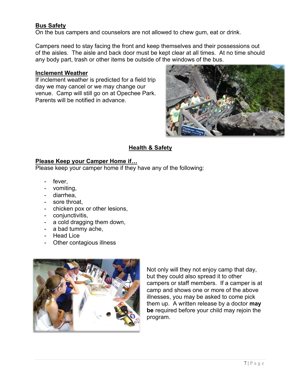# **Bus Safety**

On the bus campers and counselors are not allowed to chew gum, eat or drink.

Campers need to stay facing the front and keep themselves and their possessions out of the aisles. The aisle and back door must be kept clear at all times. At no time should any body part, trash or other items be outside of the windows of the bus.

#### **Inclement Weather**

If inclement weather is predicted for a field trip day we may cancel or we may change our venue. Camp will still go on at Opechee Park. Parents will be notified in advance.



# **Health & Safety**

# **Please Keep your Camper Home if…**

Please keep your camper home if they have any of the following:

- fever.
- vomiting,
- diarrhea,
- sore throat,
- chicken pox or other lesions,
- conjunctivitis,
- a cold dragging them down,
- a bad tummy ache,
- Head Lice
- Other contagious illness



Not only will they not enjoy camp that day, but they could also spread it to other campers or staff members. If a camper is at camp and shows one or more of the above illnesses, you may be asked to come pick them up. A written release by a doctor **may be** required before your child may rejoin the program.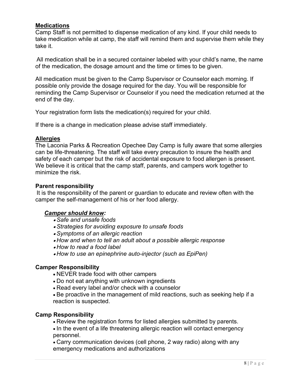#### **Medications**

Camp Staff is not permitted to dispense medication of any kind. If your child needs to take medication while at camp, the staff will remind them and supervise them while they take it.

All medication shall be in a secured container labeled with your child's name, the name of the medication, the dosage amount and the time or times to be given.

All medication must be given to the Camp Supervisor or Counselor each morning. If possible only provide the dosage required for the day. You will be responsible for reminding the Camp Supervisor or Counselor if you need the medication returned at the end of the day.

Your registration form lists the medication(s) required for your child.

If there is a change in medication please advise staff immediately.

# **Allergies**

The Laconia Parks & Recreation Opechee Day Camp is fully aware that some allergies can be life-threatening. The staff will take every precaution to insure the health and safety of each camper but the risk of accidental exposure to food allergen is present. We believe it is critical that the camp staff, parents, and campers work together to minimize the risk.

#### **Parent responsibility**

It is the responsibility of the parent or guardian to educate and review often with the camper the self-management of his or her food allergy.

#### *Camper should know:*

- *Safe and unsafe foods*
- *Strategies for avoiding exposure to unsafe foods*
- *Symptoms of an allergic reaction*
- *How and when to tell an adult about a possible allergic response*
- *How to read a food label*
- *How to use an epinephrine auto-injector (such as EpiPen)*

#### **Camper Responsibility**

- NEVER trade food with other campers
- Do not eat anything with unknown ingredients
- Read every label and/or check with a counselor

• Be proactive in the management of mild reactions, such as seeking help if a reaction is suspected.

#### **Camp Responsibility**

• Review the registration forms for listed allergies submitted by parents.

• In the event of a life threatening allergic reaction will contact emergency personnel.

• Carry communication devices (cell phone, 2 way radio) along with any emergency medications and authorizations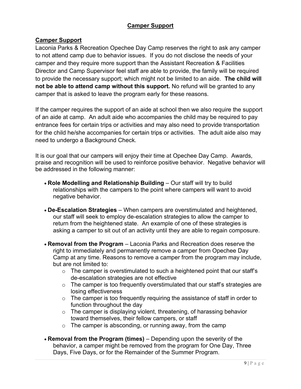# **Camper Support**

# **Camper Support**

Laconia Parks & Recreation Opechee Day Camp reserves the right to ask any camper to not attend camp due to behavior issues. If you do not disclose the needs of your camper and they require more support than the Assistant Recreation & Facilities Director and Camp Supervisor feel staff are able to provide, the family will be required to provide the necessary support; which might not be limited to an aide. **The child will not be able to attend camp without this support.** No refund will be granted to any camper that is asked to leave the program early for these reasons.

If the camper requires the support of an aide at school then we also require the support of an aide at camp. An adult aide who accompanies the child may be required to pay entrance fees for certain trips or activities and may also need to provide transportation for the child he/she accompanies for certain trips or activities. The adult aide also may need to undergo a Background Check.

It is our goal that our campers will enjoy their time at Opechee Day Camp. Awards, praise and recognition will be used to reinforce positive behavior. Negative behavior will be addressed in the following manner:

- **Role Modelling and Relationship Building** Our staff will try to build relationships with the campers to the point where campers will want to avoid negative behavior.
- **De-Escalation Strategies** When campers are overstimulated and heightened, our staff will seek to employ de-escalation strategies to allow the camper to return from the heightened state. An example of one of these strategies is asking a camper to sit out of an activity until they are able to regain composure.
- **Removal from the Program** Laconia Parks and Recreation does reserve the right to immediately and permanently remove a camper from Opechee Day Camp at any time. Reasons to remove a camper from the program may include, but are not limited to:
	- $\circ$  The camper is overstimulated to such a heightened point that our staff's de-escalation strategies are not effective
	- $\circ$  The camper is too frequently overstimulated that our staff's strategies are losing effectiveness
	- $\circ$  The camper is too frequently requiring the assistance of staff in order to function throughout the day
	- $\circ$  The camper is displaying violent, threatening, of harassing behavior toward themselves, their fellow campers, or staff
	- $\circ$  The camper is absconding, or running away, from the camp
- **Removal from the Program (times)** Depending upon the severity of the behavior, a camper might be removed from the program for One Day, Three Days, Five Days, or for the Remainder of the Summer Program.